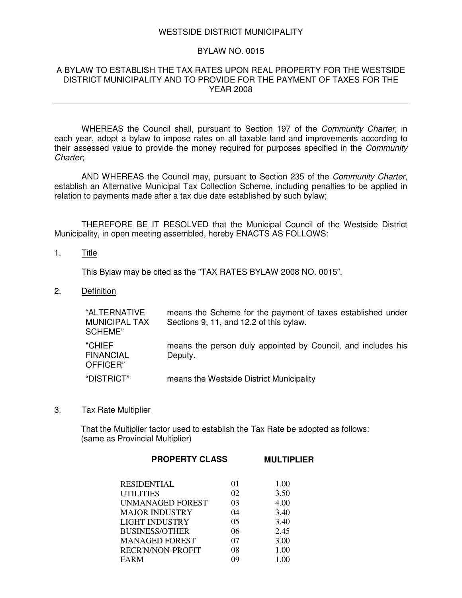### WESTSIDE DISTRICT MUNICIPALITY

# BYLAW NO. 0015

### A BYLAW TO ESTABLISH THE TAX RATES UPON REAL PROPERTY FOR THE WESTSIDE DISTRICT MUNICIPALITY AND TO PROVIDE FOR THE PAYMENT OF TAXES FOR THE YEAR 2008

WHEREAS the Council shall, pursuant to Section 197 of the *Community Charter*, in each year, adopt a bylaw to impose rates on all taxable land and improvements according to their assessed value to provide the money required for purposes specified in the *Community Charter*;

AND WHEREAS the Council may, pursuant to Section 235 of the *Community Charter*, establish an Alternative Municipal Tax Collection Scheme, including penalties to be applied in relation to payments made after a tax due date established by such bylaw;

THEREFORE BE IT RESOLVED that the Municipal Council of the Westside District Municipality, in open meeting assembled, hereby ENACTS AS FOLLOWS:

### 1. Title

This Bylaw may be cited as the "TAX RATES BYLAW 2008 NO. 0015".

2. Definition

| "ALTERNATIVE<br><b>MUNICIPAL TAX</b><br>SCHEME" | means the Scheme for the payment of taxes established under<br>Sections 9, 11, and 12.2 of this bylaw. |
|-------------------------------------------------|--------------------------------------------------------------------------------------------------------|
| "CHIEF<br><b>FINANCIAL</b><br>OFFICER"          | means the person duly appointed by Council, and includes his<br>Deputy.                                |
| "DISTRICT"                                      | means the Westside District Municipality                                                               |

3. Tax Rate Multiplier

That the Multiplier factor used to establish the Tax Rate be adopted as follows: (same as Provincial Multiplier)

| <b>PROPERTY CLASS</b> | <b>MULTIPLIER</b> |      |  |
|-----------------------|-------------------|------|--|
|                       |                   |      |  |
| RESIDENTIAL           | 01                | 1.00 |  |
| UTILITIES             | 02                | 3.50 |  |
| UNMANAGED FOREST      | 03                | 4.00 |  |
| MAJOR INDUSTRY        | 04                | 3.40 |  |
| LIGHT INDUSTRY        | 05                | 3.40 |  |
| <b>BUSINESS/OTHER</b> | 06                | 2.45 |  |
| MANAGED FOREST        | 07                | 3.00 |  |
| RECR'N/NON-PROFIT     | 08                | 1.00 |  |
| FARM                  | 09                | 1.00 |  |
|                       |                   |      |  |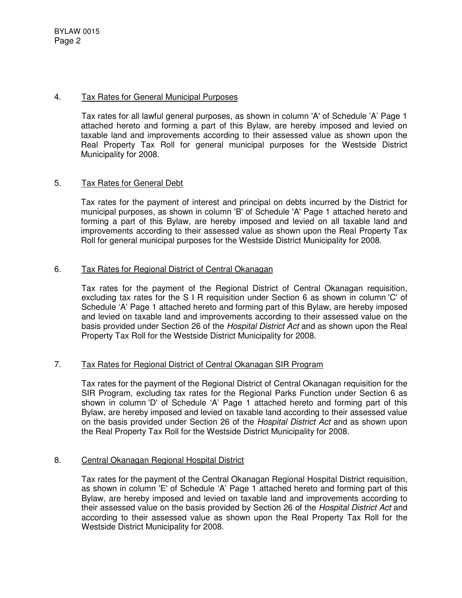# 4. Tax Rates for General Municipal Purposes

Tax rates for all lawful general purposes, as shown in column 'A' of Schedule 'A' Page 1 attached hereto and forming a part of this Bylaw, are hereby imposed and levied on taxable land and improvements according to their assessed value as shown upon the Real Property Tax Roll for general municipal purposes for the Westside District Municipality for 2008.

# 5. Tax Rates for General Debt

Tax rates for the payment of interest and principal on debts incurred by the District for municipal purposes, as shown in column 'B' of Schedule 'A' Page 1 attached hereto and forming a part of this Bylaw, are hereby imposed and levied on all taxable land and improvements according to their assessed value as shown upon the Real Property Tax Roll for general municipal purposes for the Westside District Municipality for 2008.

# 6. Tax Rates for Regional District of Central Okanagan

Tax rates for the payment of the Regional District of Central Okanagan requisition, excluding tax rates for the S I R requisition under Section 6 as shown in column 'C' of Schedule 'A' Page 1 attached hereto and forming part of this Bylaw, are hereby imposed and levied on taxable land and improvements according to their assessed value on the basis provided under Section 26 of the *Hospital District Act* and as shown upon the Real Property Tax Roll for the Westside District Municipality for 2008.

# 7. Tax Rates for Regional District of Central Okanagan SIR Program

Tax rates for the payment of the Regional District of Central Okanagan requisition for the SIR Program, excluding tax rates for the Regional Parks Function under Section 6 as shown in column 'D' of Schedule 'A' Page 1 attached hereto and forming part of this Bylaw, are hereby imposed and levied on taxable land according to their assessed value on the basis provided under Section 26 of the *Hospital District Act* and as shown upon the Real Property Tax Roll for the Westside District Municipality for 2008.

# 8. Central Okanagan Regional Hospital District

Tax rates for the payment of the Central Okanagan Regional Hospital District requisition, as shown in column 'E' of Schedule 'A' Page 1 attached hereto and forming part of this Bylaw, are hereby imposed and levied on taxable land and improvements according to their assessed value on the basis provided by Section 26 of the *Hospital District Act* and according to their assessed value as shown upon the Real Property Tax Roll for the Westside District Municipality for 2008.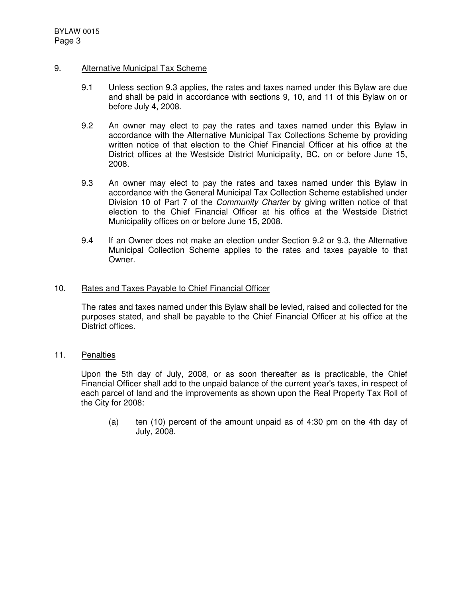# 9. Alternative Municipal Tax Scheme

- 9.1 Unless section 9.3 applies, the rates and taxes named under this Bylaw are due and shall be paid in accordance with sections 9, 10, and 11 of this Bylaw on or before July 4, 2008.
- 9.2 An owner may elect to pay the rates and taxes named under this Bylaw in accordance with the Alternative Municipal Tax Collections Scheme by providing written notice of that election to the Chief Financial Officer at his office at the District offices at the Westside District Municipality, BC, on or before June 15, 2008.
- 9.3 An owner may elect to pay the rates and taxes named under this Bylaw in accordance with the General Municipal Tax Collection Scheme established under Division 10 of Part 7 of the *Community Charter* by giving written notice of that election to the Chief Financial Officer at his office at the Westside District Municipality offices on or before June 15, 2008.
- 9.4 If an Owner does not make an election under Section 9.2 or 9.3, the Alternative Municipal Collection Scheme applies to the rates and taxes payable to that Owner.

# 10. Rates and Taxes Payable to Chief Financial Officer

The rates and taxes named under this Bylaw shall be levied, raised and collected for the purposes stated, and shall be payable to the Chief Financial Officer at his office at the District offices.

11. Penalties

Upon the 5th day of July, 2008, or as soon thereafter as is practicable, the Chief Financial Officer shall add to the unpaid balance of the current year's taxes, in respect of each parcel of land and the improvements as shown upon the Real Property Tax Roll of the City for 2008:

(a) ten (10) percent of the amount unpaid as of 4:30 pm on the 4th day of July, 2008.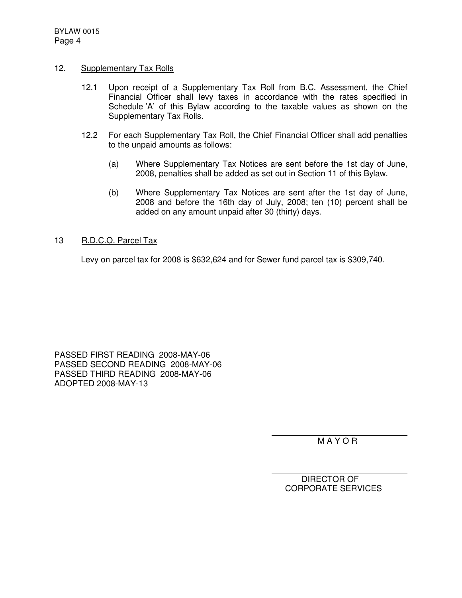# 12. Supplementary Tax Rolls

- 12.1 Upon receipt of a Supplementary Tax Roll from B.C. Assessment, the Chief Financial Officer shall levy taxes in accordance with the rates specified in Schedule 'A' of this Bylaw according to the taxable values as shown on the Supplementary Tax Rolls.
- 12.2 For each Supplementary Tax Roll, the Chief Financial Officer shall add penalties to the unpaid amounts as follows:
	- (a) Where Supplementary Tax Notices are sent before the 1st day of June, 2008, penalties shall be added as set out in Section 11 of this Bylaw.
	- (b) Where Supplementary Tax Notices are sent after the 1st day of June, 2008 and before the 16th day of July, 2008; ten (10) percent shall be added on any amount unpaid after 30 (thirty) days.

# 13 R.D.C.O. Parcel Tax

Levy on parcel tax for 2008 is \$632,624 and for Sewer fund parcel tax is \$309,740.

PASSED FIRST READING 2008-MAY-06 PASSED SECOND READING 2008-MAY-06 PASSED THIRD READING 2008-MAY-06 ADOPTED 2008-MAY-13

M A Y O R

DIRECTOR OF CORPORATE SERVICES